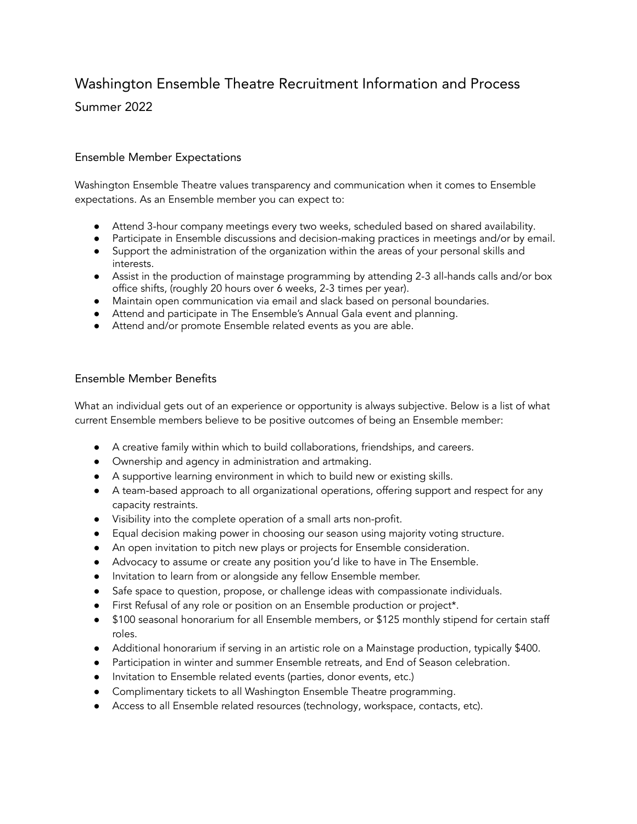## Washington Ensemble Theatre Recruitment Information and Process

Summer 2022

## Ensemble Member Expectations

Washington Ensemble Theatre values transparency and communication when it comes to Ensemble expectations. As an Ensemble member you can expect to:

- Attend 3-hour company meetings every two weeks, scheduled based on shared availability.
- Participate in Ensemble discussions and decision-making practices in meetings and/or by email.
- Support the administration of the organization within the areas of your personal skills and interests.
- Assist in the production of mainstage programming by attending 2-3 all-hands calls and/or box office shifts, (roughly 20 hours over 6 weeks, 2-3 times per year).
- Maintain open communication via email and slack based on personal boundaries.
- Attend and participate in The Ensemble's Annual Gala event and planning.
- Attend and/or promote Ensemble related events as you are able.

## Ensemble Member Benefits

What an individual gets out of an experience or opportunity is always subjective. Below is a list of what current Ensemble members believe to be positive outcomes of being an Ensemble member:

- A creative family within which to build collaborations, friendships, and careers.
- Ownership and agency in administration and artmaking.
- A supportive learning environment in which to build new or existing skills.
- A team-based approach to all organizational operations, offering support and respect for any capacity restraints.
- Visibility into the complete operation of a small arts non-profit.
- Equal decision making power in choosing our season using majority voting structure.
- An open invitation to pitch new plays or projects for Ensemble consideration.
- Advocacy to assume or create any position you'd like to have in The Ensemble.
- Invitation to learn from or alongside any fellow Ensemble member.
- Safe space to question, propose, or challenge ideas with compassionate individuals.
- First Refusal of any role or position on an Ensemble production or project\*.
- \$100 seasonal honorarium for all Ensemble members, or \$125 monthly stipend for certain staff roles.
- Additional honorarium if serving in an artistic role on a Mainstage production, typically \$400.
- Participation in winter and summer Ensemble retreats, and End of Season celebration.
- Invitation to Ensemble related events (parties, donor events, etc.)
- Complimentary tickets to all Washington Ensemble Theatre programming.
- Access to all Ensemble related resources (technology, workspace, contacts, etc).